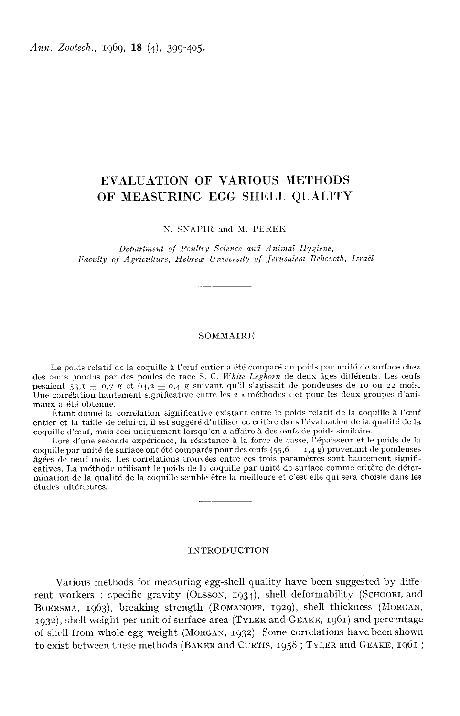Ann. Zootech., 1969, 18 (4), 399-405.

# EVALUATION OF VARIOUS METHODS OF MEASURING EGG SHELL QUALITY

N. SNAPIR and M. PEREK

Depavtment of Poultvy Science and Animal Hygiene, Faculty of Agriculture, Hebrew University of Jerusalem Rehovoth, Israël

### **SOMMAIRE**

Le poids relatif de la coquille à l'œuf entier a été comparé au poids par unité de surface chez des oeufs pondus par des poules de race S. C. White Leghorn de deux âges différents. Les œufs Le poids relatif de la coquille à l'œuf entier a été comparé au poids par unité de surface chez<br>des œufs pondus par des poules de race S. C. White Leghorn de deux âges différents. Les œufs<br>pesaient 53, I  $\pm$  0,7 g et 64, pesaient  $53.7 \pm 0.7$  g et  $64.2 \pm 0.4$  g suivant qu'il s'agissait de pondeuses de 10 ou 22 mois.<br>Une corrélation hautement significative entre les 2 « méthodes » et pour les deux groupes d'animaux a été obtenue.

Étant donné la corrélation significative existant entre le poids relatif de la coquille à l'oeuf entier et la taille de celui-ci, il est suggéré d'utiliser ce critère dans l'évaluation de la qualité de la coquille d'œuf, mais ceci uniquement lorsqu'on a affaire à des œufs de poids similaire.

Lors d'une seconde expérience, la résistance à la force de casse, l'épaisseur et le poids de la coquille par unité de surface ont été comparés pour des œufs (55,6  $\pm$  1,4 g) provenant de pondeuses âgées de neuf mois. Les corrélations trouvées entre ces trois paramètres sont hautement significatives. La méthode utilisant le poids de la coquille par unité de surface comme critère de détermination de la qualité de la coquille semble être la meilleure et c'est elle qui sera choisie dans les études ultérieures.

# INTRODUCTION

Various methods for measuring egg-shell quality have been suggested by different workers: specific gravity (OLSSON, 1934), shell deformability (SCHOORL and INTRODUCTION<br>Various methods for measuring egg-shell quality have been suggested by diffe-<br>rent workers : specific gravity (OLSSON, 1934), shell deformability (SCHOORL and<br>BOERSMA, 1963), breaking strength (ROMANOFF, 1929) Various methods for measuring egg-shell quality have been suggested by different workers : specific gravity (OLSSON, 1934), shell deformability (SCHOORL, and BOERSMA, 1963), breaking strength (ROMANOFF, 1929), shell thickn  $r_{1932}$ ), shell weight per unit of surface area (TYLER and GEAKE, 1961) and percentage of shell from whole egg weight (MORGAN, 1932). Some correlations have been shown to exist between these methods (BAKER and CURTIS,  $1958$ ; TYLER and GEAKE,  $1961$ ;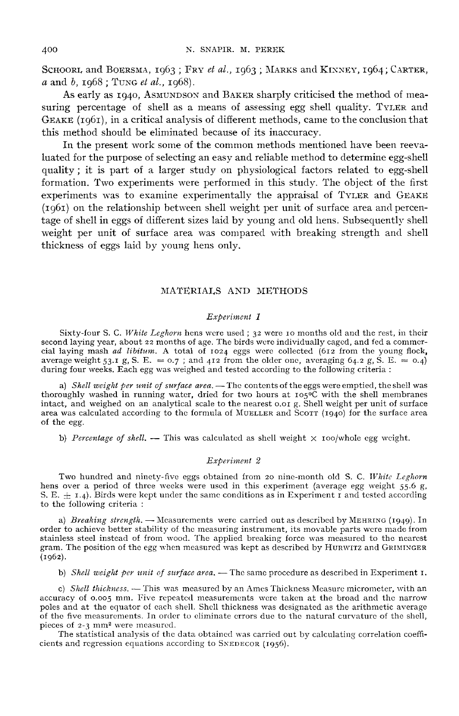SCHOORI, and BOERSMA, 1963; FRY *et al.*, 1963; MARKS and KINNEY, 1964; CARTER, a and b, 1968; TUNG *et al.*, 1968).<br>As early as 1040, Aswinneson and BAKER sharphy criticised the method of mea-

N. SNAPIR. M. PEREK<br>DORL and BOERSMA, 1963; FRY *et al.*, 1963; MARKS and KINNEY, 1964; CARTER,<br>d b, 1968; TUNG *et al.*, 1968).<br>As early as 1940, ASMUNDSON and BAKER sharply criticised the method of mea-<br>g percentage of s  $\alpha$  and  $b$ , 1968; TUNG *et al.*, 1968).<br>As early as 1940, ASMUNDSON and BAKER sharply criticised the method of measuring percentage of shell as a means of assessing egg shell quality. TYLER and GEAKE  $(1061)$ , in a critical analysis of different methods, came to the conclusion that this method should be eliminated because of its inaccuracy.

In the present work some of the common methods mentioned have been reevaluated for the purpose of selecting an easy and reliable method to determine egg-shell quality ; it is part of a larger study on physiological factors related to egg-shell formation. Two experiments were performed in this study. The object of the first mated for the purpose of selecting an easy and rehable method to determine egg-shell<br>quality; it is part of a larger study on physiological factors related to egg-shell<br>formation. Two experiments were performed in this stu experiments was to examine experimentally the appraisal of  $T_{\text{VLER}}$  and  $G_{\text{EAKR}}$  (1961) on the relationship between shell weight per unit of surface area and percentage of shell in eggs of different sizes laid by young and old hens. Subsequently shell weight per unit of surface area was compared with breaking strength and shell thickness of eggs laid by voung hens only.

# MATERIALS AND METHODS

MATERIALS AND METHODS<br>  $Experiment 1$ <br>
Sixty-four S. C. White Leghorn hens were used ; 32 were 10 months old and the rest, in their second laying year, about 22 months of age. The birds were individually caged, and fed a commer-<br>cial laying mash *ad libitum*. A total of 1024 eggs were collected (612 from the young flock,<br>average weight ca 5 from  $S_1$ cial laying mash *ad libitum*. A total of  $1024$  eggs were collected (612 from the young flock, average weight 53.1 g, S. E. = 0.7; and 412 from the older one, averaging 64.2 g, S. E. = 0.4) during four weeks. Each egg was weighed and tested according to the following criteria :

a) Shell weight per unit of surface area. - The contents of the eggs were emptied, the shell was thoroughly washed in running water, dried for two hours at  $10^{-5}$  contents of the end at the shell was thoroughly washed in running water, dried for two hours at  $10^{-6}$ C with the shell membranes intact. and weighted on intact, and weight per unit of surface urial.— In contents of the segs were empired, the small scale to the nearest 0.0 g. Shell weight per unit of surface area was calculated according to the formula of MuELLER and Scott of the egg.

b) Percentage of shell. - This was calculated as shell weight  $\times$  100/whole egg weight.

#### Experiment 2

Two hundred and ninety-five eggs obtained from 20 nine-month old S. C. White Leghorn<br>hens over a period of three weeks were used in this experiment (average egg weight 55.6 g,<br>S. E.  $\pm$  1.4). Birds were kept under the sa

order to achieve better stability of the measuring instrument, its movable parts were made from stainless steel instead of from wood. The applied breaking force was measured to the nearest to the following criteria :<br>
a) *Breaking strength*. — Measurements were carried out as described by MEHRING (1949). In<br>
order to achieve better stability of the measuring instrument, its movable parts were made from<br>
stai (rg62).

b) Shell weight per unit of surface area.  $-$  The same procedure as described in Experiment  $I$ .

c) Shell thickness. - This was measured by an Ames Thickness Measure micrometer, with an c) Shell thickness. — This was measured by an Ames Thickness Measure micrometer, with an accuracy of o.oog mm. Five repeated measurements were taken at the broad and the narrow poles and at the counter of each shell. Shel poles and at the equator of each shell. Shell thickness was designated as the arithmetic average<br>of the five measurements. In order to eliminate errors due to the natural curvature of the shell,<br>pieces of 2-3 mm<sup>2</sup> were me accuracy of 0.005 mm. Five repeated measurements were ta<br>poles and at the equator of each shell. Shell thickness was de<br>of the five measurements. In order to eliminate errors due to<br>pieces of 2-3 mm<sup>2</sup> were measured.<br>The s

The statistical analysis of the data obtained was carried out by calculating correlation coefficients and regression equations according to SNEDECOR (1956).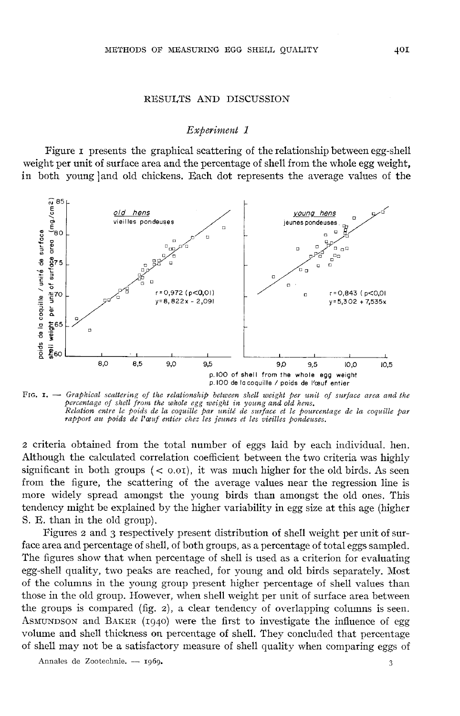### RESULTS AND DISCUSSION

## Experiment 1

Figure i presents the graphical scattering of the relationship between egg-shell weight per unit of surface area and the percentage of shell from the whole egg weight, in both young ]and old chickens. Each dot represents the average values of the



FIG.  $I.$   $\rightarrow$  Graphical scattering of the relationship between shell weight per unit of surface area and the percentage of shell from the whole egg weight in young and old hens. Relation entre le poids de la coquille par unité de surface et le pourcentage de la coquille par<br>rapport au poids de l'œuf entier chez les jeunes et les vieilles pondeuses.

<sup>2</sup> criteria obtained from the total number of eggs laid by each individual. hen. Although the calculated correlation coefficient between the two criteria was highly significant in both groups  $( $0.01$ ), it was much higher for the old birds. As seen$ from the figure, the scattering of the average values near the regression line is more widely spread amongst the young birds than amongst the old ones. This tendency might be explained by the higher variability in egg size at this age (higher S. E. than in the old group).

Figures 2 and 3 respectively present distribution of shell weight per unit of surface area and percentage of shell, of both groups, as a percentage of total eggs sampled. The figures show that when percentage of shell is used as a criterion for evaluating egg-shell quality, two peaks are reached, for young and old birds separately. Most of the columns in the young group present higher percentage of shell values than those in the old group. However, when shell weight per unit of surface area between the groups is compared (fig. 2), a clear tendency of overlapping columns is seen. The figures<br>egg-shell qu<br>of the colun<br>those in the<br>the groups<br>AsmunDson<br>volume and ASMUNDSON and BAKER  $(1940)$  were the first to investigate the influence of egg volume and shell thickness on percentage of shell. They concluded that percentage of shell may not be a satisfactory measure of shell quality when comparing eggs of

Annales de Zootechnie. - 1969.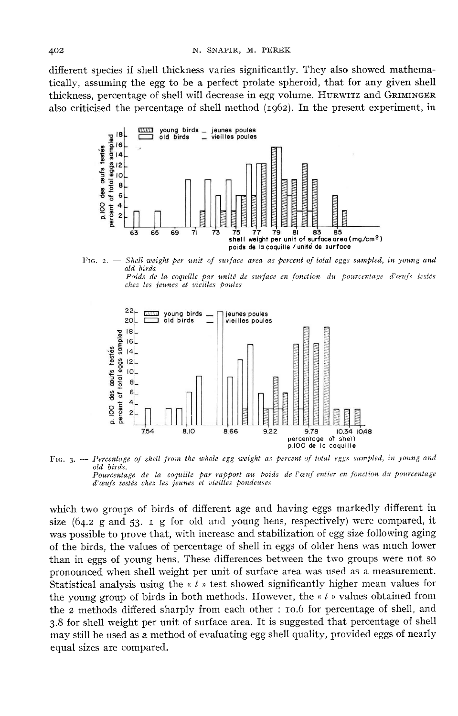different species if shell thickness varies significantly. They also showed mathematically, assuming the egg to be a perfect prolate spheroid, that for any given shell thickness, percentage of shell will decrease in egg volume. HURWITZ and GRIMINGER also criticised the percentage of shell method (ig62). In the present experiment, in



Fig.  $2.$   $-$  Shell weight per unit of surface area as percent of total eggs sampled, in young and old birds nt entre la coquille par unité de surface en fonction du pourcentage d'œufs testés



chez les jeunes et vieilles poules

FIG, 3. -- Percentage of shell from the whole egg weight as percent of total eggs sampled, in young and old hirds Pourcentage de la coquille par rapport au poids de l'œuf entier en fonction du pourcentage d'œufs testés chez les jeunes et vieilles pondeuses

which two groups of birds of different age and having eggs markedly different in size  $(64.2 \text{ g and } 53. \text{ I } \text{ g}$  for old and young hens, respectively) were compared, it was possible to prove that, with increase and stabilization of egg size following aging of the birds, the values of percentage of shell in eggs of older hens was much lower than in eggs of young hens. These differences between the two groups were not so pronounced when shell weight per unit of surface area was used as a measurement. Statistical analysis using the  $\kappa t$  » test showed significantly higher mean values for the young group of birds in both methods. However, the  $\alpha t$  » values obtained from the 2 methods differed sharply from each other : 10.6 for percentage of shell, and 3.8 for shell weight per unit of surface area. It is suggested that percentage of shell may still be used as a method of evaluating egg shell quality, provided eggs of nearly equal sizes are compared.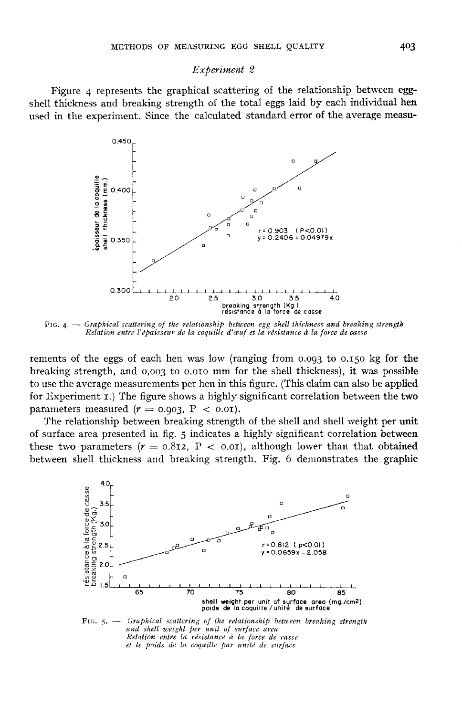# Experiment 2

Figure 4 represents the graphical scattering of the relationship between eggshell thickness and breaking strength of the total eggs laid by each individual hen used in the experiment. Since the calculated standard error of the average measu-



FIG. 4. - Graphical scattering of the relationship between egg shell thickness and breaking strength

rements of the eggs of each hen was low (ranging from 0.093 to 0.150 kg for the<br>healting strangth, and 0.002 to 0.010 mm for the shall thickness), it was possible brements of the eggs of each hen was low (ranging from 0.093 to 0.150 kg for the breaking strength, and 0,003 to 0.010 mm for the shell thickness), it was possible to use the averson measurements par hen in this figure. (T to use the average measurements per hen in this figure. (This claim can also be applied for Experiment z.) The figure shows a highly significant correlation between the two to use the average measurements per hen in th<br>for Experiment 1.) The figure shows a highly<br>parameters measured  $(r = 0.903, P < 0.01)$ .<br>The relationship between breaking strengt

The relationship between breaking strength of the shell and shell weight per unit of surface area presented in fig. 5 indicates a highly significant correlation between The relationship between breaking strength of the shell and shell weight per unit<br>of surface area presented in fig. 5 indicates a highly significant correlation between<br>these two parameters ( $r = 0.812$ ,  $P < 0.01$ ), althou between shell thickness and breaking strength. Fig. 6 demonstrates the graphie



 $F$ IG. 5.  $\rightarrow$  Graphical scattering of the relationship between breaking strength and shell weight per unit of surface area Relation entre la résistance à la force de casse et le poids de la coquille par unité de surface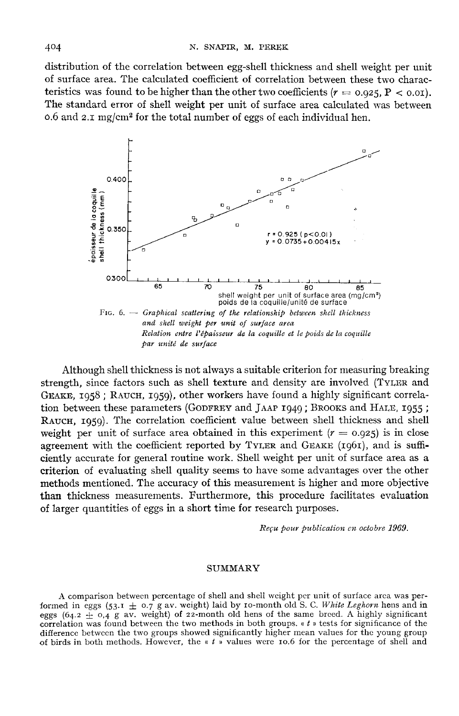distribution of the correlation between egg-shell thickness and shell weight per unit of surface area. The calculated coefficient of correlation between these two characdistribution of the correlation between egg-shell thickness and shell weight per unit<br>of surface area. The calculated coefficient of correlation between these two charac-<br>teristics was found to be higher than the other tw The standard error of shell weight per unit of surface area calculated was between 0.6 and  $2.1 \text{ mg/cm}^2$  for the total number of eggs of each individual hen. or surface area. The calculated coefficient of correlation between these<br>teristics was found to be higher than the other two coefficients ( $r = 0.9$ <br>The standard error of shell weight per unit of surface area calculated<br>0.



Although shell thickness is not always a suitable criterion for measuring breaking strength, since factors such as shell texture and density are involved (TYLER and Although shell thickness is not always a suitable criterion for measuring breaking<br>strength, since factors such as shell texture and density are involved (TYLER and<br>GEAKE, 1958 ; RAUCH, 1959), other workers have found a hi Although shell thickness is not always a suitable criterion for measuring breaking<br>strength, since factors such as shell texture and density are involved (TYLER and<br>GEAKE, 1958 ; RAUCH, 1959), other workers have found a h tion between these parameters (GODFREY and JAAP 1949; BROOKS and HALE, 1955; RAUCH, 1959). The correlation coefficient value between shell thickness and shell weight per unit of surface area obtained in this experiment (ciently accurate for general routine work. Shell weight per unit of surface area as a criterion of evaluating shell quality seems to have some advantages over the other methods mentioned. The accuracy of this measurement is higher and more objective than thickness measurements. Furthermore, this procedure facilitates evaluation of larger quantities of eggs in a short time for research purposes.

Reçu pour publication en octobre 1969.

#### SUMMARY

A comparison between percentage of shell and shell weight per unit of surface area was performed in eggs (53.1  $\pm$  0.7 g av. weight) laid by 10-month old S. C. White Leghorn hens and in eggs (64.2  $\pm$  0,4 g av. weight) of 22-month old hens of the same breed. A highly significant correlation was found between the two methods in both groups.  $\kappa t$  » tests for significance of the difference between the two groups showed significantly higher mean values for the young group of birds in both methods. However, the « t » values were io.6 for the percentage of shell and